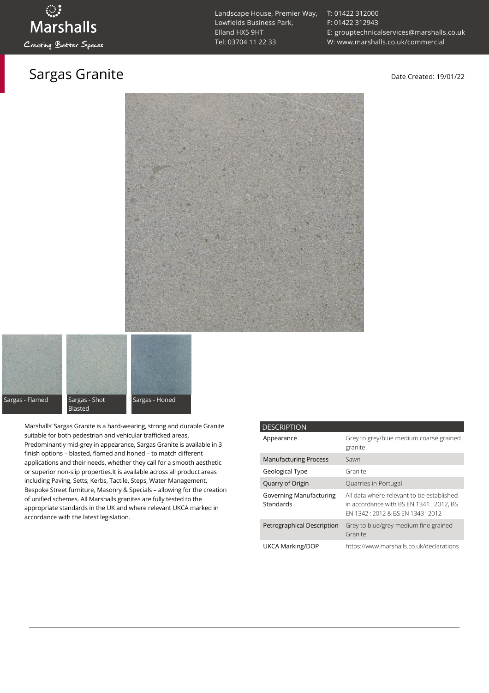### Sargas Granite **Date Created: 19/01/22**

[T: 01422 312000](tel:01422%20312000) [F: 01422 312943](tel:01422%20312943) [E: grouptechnicalservices@marshalls.co.uk](mailto:grouptechnicalservices@marshalls.co.uk) [W: www.marshalls.co.uk/commercial](https://www.marshalls.co.uk/commercial)





Marshalls' Sargas Granite is a hard-wearing, strong and durable Granite suitable for both pedestrian and vehicular trafficked areas. Predominantly mid-grey in appearance, Sargas Granite is available in 3 finish options – blasted, flamed and honed – to match different applications and their needs, whether they call for a smooth aesthetic or superior non-slip properties.It is available across all product areas including Paving, Setts, Kerbs, Tactile, Steps, Water Management, Bespoke Street furniture, Masonry & Specials – allowing for the creation of unified schemes. All Marshalls granites are fully tested to the appropriate standards in the UK and where relevant UKCA marked in accordance with the latest legislation.

| <b>DESCRIPTION</b>                   |                                                                                                                           |
|--------------------------------------|---------------------------------------------------------------------------------------------------------------------------|
| Appearance                           | Grey to grey/blue medium coarse grained<br>granite                                                                        |
| <b>Manufacturing Process</b>         | Sawn                                                                                                                      |
| Geological Type                      | Granite                                                                                                                   |
| Quarry of Origin                     | Quarries in Portugal                                                                                                      |
| Governing Manufacturing<br>Standards | All data where relevant to be established<br>in accordance with BS EN 1341 : 2012, BS<br>FN 1342 12012 & BS FN 1343 12012 |
| Petrographical Description           | Grey to blue/grey medium fine grained<br>Granite                                                                          |
| UKCA Marking/DOP                     | https://www.marshalls.co.uk/declarations                                                                                  |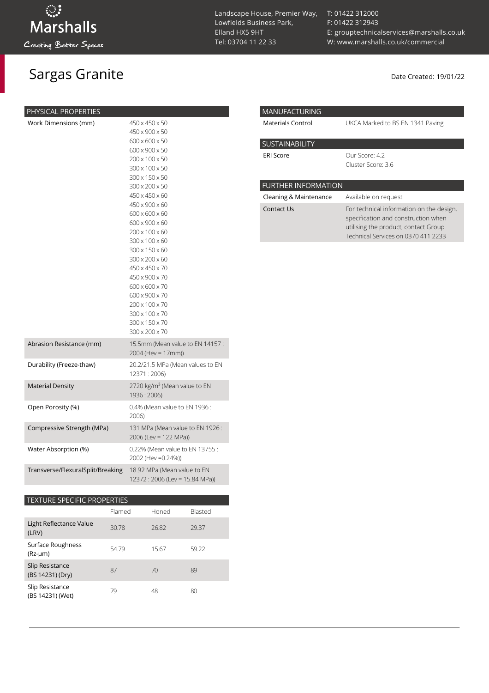## Sargas Granite Date Created: 19/01/22

| PHYSICAL PROPERTIES<br>Work Dimensions (mm) | 450 x 450 x 50<br>450 x 900 x 50<br>600 x 600 x 50<br>600 x 900 x 50<br>200 x 100 x 50<br>300 x 100 x 50<br>300 x 150 x 50<br>300 x 200 x 50<br>450 x 450 x 60<br>450 x 900 x 60<br>600 x 600 x 60<br>600 x 900 x 60<br>200 x 100 x 60<br>300 x 100 x 60<br>300 x 150 x 60<br>300 x 200 x 60<br>450 x 450 x 70<br>450 x 900 x 70<br>600 x 600 x 70<br>600 x 900 x 70<br>200 x 100 x 70<br>300 x 100 x 70 |
|---------------------------------------------|----------------------------------------------------------------------------------------------------------------------------------------------------------------------------------------------------------------------------------------------------------------------------------------------------------------------------------------------------------------------------------------------------------|
| Abrasion Resistance (mm)                    | 300 x 200 x 70<br>15.5mm (Mean value to EN 14157:<br>2004 (Hev = 17mm))                                                                                                                                                                                                                                                                                                                                  |
| Durability (Freeze-thaw)                    | 20.2/21.5 MPa (Mean values to EN<br>12371:2006)                                                                                                                                                                                                                                                                                                                                                          |
| <b>Material Density</b>                     | 2720 kg/m <sup>3</sup> (Mean value to EN<br>1936 : 2006)                                                                                                                                                                                                                                                                                                                                                 |
| Open Porosity (%)                           | 0.4% (Mean value to EN 1936 :<br>2006)                                                                                                                                                                                                                                                                                                                                                                   |
| Compressive Strength (MPa)                  | 131 MPa (Mean value to EN 1926 :<br>2006 (Lev = 122 MPa))                                                                                                                                                                                                                                                                                                                                                |
| Water Absorption (%)                        | 0.22% (Mean value to EN 13755:<br>2002 (Hev = 0.24%))                                                                                                                                                                                                                                                                                                                                                    |
| Transverse/FlexuralSplit/Breaking           | 18.92 MPa (Mean value to EN<br>12372: 2006 (Lev = 15.84 MPa))                                                                                                                                                                                                                                                                                                                                            |

### TEXTURE SPECIFIC PROPERTIES

|                                     | Flamed | Honed | Blasted |
|-------------------------------------|--------|-------|---------|
| Light Reflectance Value<br>(LRV)    | 30.78  | 26.82 | 29.37   |
| Surface Roughness<br>$(Rz-µm)$      | 54.79  | 15.67 | 59.22   |
| Slip Resistance<br>(BS 14231) (Dry) | 87     | 70    | 89      |
| Slip Resistance<br>(BS 14231) (Wet) | 79     | 48    | 80      |

Landscape House, Premier Way, Lowfields Business Park, Elland HX5 9HT [Tel: 03704 11 22 33](tel:03704112233)

[T: 01422 312000](tel:01422%20312000) [F: 01422 312943](tel:01422%20312943) [E: grouptechnicalservices@marshalls.co.uk](mailto:grouptechnicalservices@marshalls.co.uk) [W: www.marshalls.co.uk/commercial](https://www.marshalls.co.uk/commercial)

| <b>MANUFACTURING</b>       |                                                                                                                                                                |
|----------------------------|----------------------------------------------------------------------------------------------------------------------------------------------------------------|
| Materials Control          | UKCA Marked to BS EN 1341 Paving                                                                                                                               |
| <b>SUSTAINABILITY</b>      |                                                                                                                                                                |
| <b>ERI Score</b>           | Our Score: 4.2<br>Cluster Score: 3.6                                                                                                                           |
| <b>FURTHER INFORMATION</b> |                                                                                                                                                                |
| Cleaning & Maintenance     | Available on request                                                                                                                                           |
| Contact Us                 | For technical information on the design,<br>specification and construction when<br>utilising the product, contact Group<br>Technical Services on 0370 411 2233 |